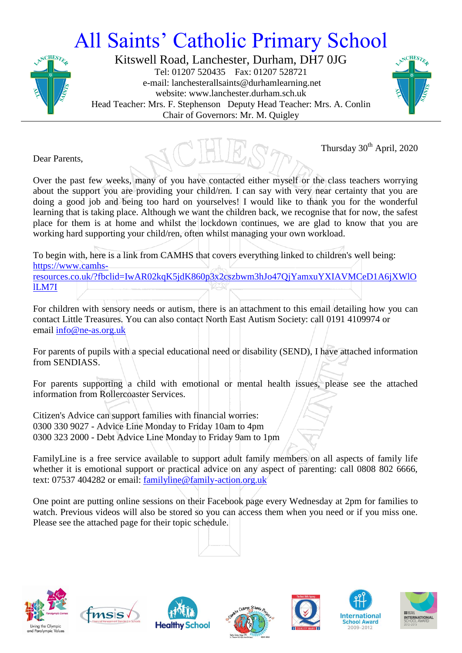## All Saints' Catholic Primary School



Kitswell Road, Lanchester, Durham, DH7 0JG Tel: 01207 520435 Fax: 01207 528721 e-mail: lanchesterallsaints@durhamlearning.net website: www.lanchester.durham.sch.uk Head Teacher: Mrs. F. Stephenson Deputy Head Teacher: Mrs. A. Conlin Chair of Governors: Mr. M. Quigley



Thursday 30<sup>th</sup> April, 2020

Dear Parents,

Over the past few weeks, many of you have contacted either myself or the class teachers worrying about the support you are providing your child/ren. I can say with very near certainty that you are doing a good job and being too hard on yourselves! I would like to thank you for the wonderful learning that is taking place. Although we want the children back, we recognise that for now, the safest place for them is at home and whilst the lockdown continues, we are glad to know that you are working hard supporting your child/ren, often whilst managing your own workload.

To begin with, here is a link from CAMHS that covers everything linked to children's well being: [https://www.camhs-](https://eur03.safelinks.protection.outlook.com/?url=https%3A%2F%2Fwww.camhs-resources.co.uk%2F%3Ffbclid%3DIwAR02kqK5jdK860p3x2cszbwm3hJo47QjYamxuYXIAVMCeD1A6jXWlOlLM7I&data=02%7C01%7Cp3413.admin%40durhamlearning.net%7C96378019b2db4879d38508d7ec67cddf%7C45dfff5283644d73bf3a8f98bdf10d87%7C0%7C0%7C637237804390393867&sdata=Q8z0zvcrSNy1WF4rUh3UwPh%2BkYDple5jBONJjeIQvVc%3D&reserved=0)

[resources.co.uk/?fbclid=IwAR02kqK5jdK860p3x2cszbwm3hJo47QjYamxuYXIAVMCeD1A6jXWlO](https://eur03.safelinks.protection.outlook.com/?url=https%3A%2F%2Fwww.camhs-resources.co.uk%2F%3Ffbclid%3DIwAR02kqK5jdK860p3x2cszbwm3hJo47QjYamxuYXIAVMCeD1A6jXWlOlLM7I&data=02%7C01%7Cp3413.admin%40durhamlearning.net%7C96378019b2db4879d38508d7ec67cddf%7C45dfff5283644d73bf3a8f98bdf10d87%7C0%7C0%7C637237804390393867&sdata=Q8z0zvcrSNy1WF4rUh3UwPh%2BkYDple5jBONJjeIQvVc%3D&reserved=0) [lLM7I](https://eur03.safelinks.protection.outlook.com/?url=https%3A%2F%2Fwww.camhs-resources.co.uk%2F%3Ffbclid%3DIwAR02kqK5jdK860p3x2cszbwm3hJo47QjYamxuYXIAVMCeD1A6jXWlOlLM7I&data=02%7C01%7Cp3413.admin%40durhamlearning.net%7C96378019b2db4879d38508d7ec67cddf%7C45dfff5283644d73bf3a8f98bdf10d87%7C0%7C0%7C637237804390393867&sdata=Q8z0zvcrSNy1WF4rUh3UwPh%2BkYDple5jBONJjeIQvVc%3D&reserved=0)

For children with sensory needs or autism, there is an attachment to this email detailing how you can contact Little Treasures. You can also contact North East Autism Society: call 0191 4109974 or email [info@ne-as.org.uk](mailto:info@ne-as.org.uk)

For parents of pupils with a special educational need or disability (SEND), I have attached information from SENDIASS.

For parents supporting a child with emotional or mental health issues, please see the attached information from Rollercoaster Services.

Citizen's Advice can support families with financial worries: 0300 330 9027 - Advice Line Monday to Friday 10am to 4pm 0300 323 2000 - Debt Advice Line Monday to Friday 9am to 1pm

FamilyLine is a free service available to support adult family members on all aspects of family life whether it is emotional support or practical advice on any aspect of parenting: call 0808 802 6666, text: 07537 404282 or email: [familyline@family-action.org.uk](mailto:familyline@family-action.org.uk)

One point are putting online sessions on their Facebook page every Wednesday at 2pm for families to watch. Previous videos will also be stored so you can access them when you need or if you miss one. Please see the attached page for their topic schedule.

**Healthy School**